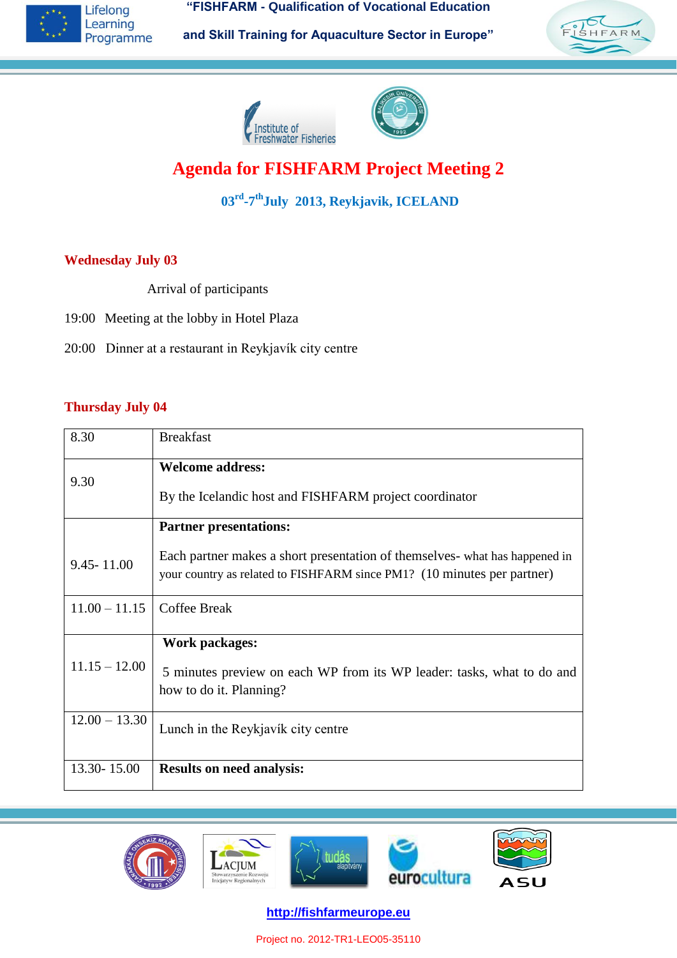**"FISHFARM - Qualification of Vocational Education**



**and Skill Training for Aquaculture Sector in Europe"**







# **Agenda for FISHFARM Project Meeting 2**

**03rd -7 thJuly 2013, Reykjavik, ICELAND**

#### **Wednesday July 03**

Arrival of participants

- 19:00 Meeting at the lobby in Hotel Plaza
- 20:00 Dinner at a restaurant in Reykjavík city centre

#### **Thursday July 04**

| 8.30            | <b>Breakfast</b>                                                                                                                                       |
|-----------------|--------------------------------------------------------------------------------------------------------------------------------------------------------|
| 9.30            | <b>Welcome address:</b>                                                                                                                                |
|                 | By the Icelandic host and FISHFARM project coordinator                                                                                                 |
|                 | <b>Partner presentations:</b>                                                                                                                          |
| $9.45 - 11.00$  | Each partner makes a short presentation of themselves- what has happened in<br>your country as related to FISHFARM since PM1? (10 minutes per partner) |
|                 |                                                                                                                                                        |
| $11.00 - 11.15$ | Coffee Break                                                                                                                                           |
|                 | Work packages:                                                                                                                                         |
| $11.15 - 12.00$ | 5 minutes preview on each WP from its WP leader: tasks, what to do and                                                                                 |
|                 | how to do it. Planning?                                                                                                                                |
| $12.00 - 13.30$ | Lunch in the Reykjavík city centre                                                                                                                     |
|                 |                                                                                                                                                        |
| 13.30-15.00     | <b>Results on need analysis:</b>                                                                                                                       |



**http://fishfarmeurope.eu**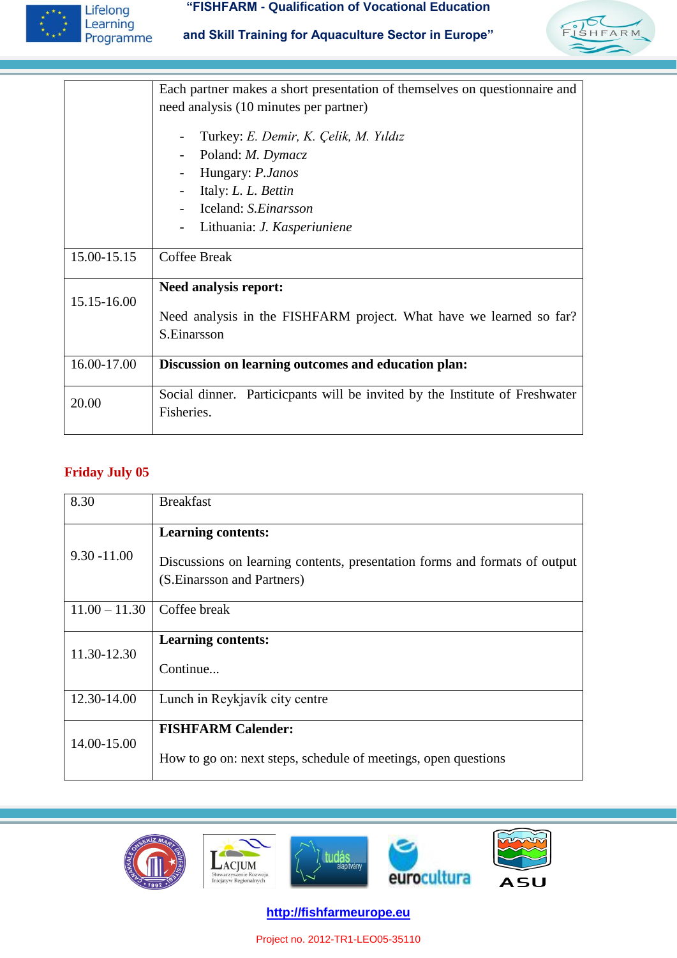

#### **"FISHFARM - Qualification of Vocational Education**





|             | Each partner makes a short presentation of themselves on questionnaire and                |
|-------------|-------------------------------------------------------------------------------------------|
|             | need analysis (10 minutes per partner)                                                    |
|             | Turkey: E. Demir, K. Çelik, M. Yıldız                                                     |
|             | Poland: <i>M. Dymacz</i>                                                                  |
|             | Hungary: P.Janos                                                                          |
|             | Italy: L. L. Bettin                                                                       |
|             | Iceland: S.Einarsson                                                                      |
|             | Lithuania: J. Kasperiuniene                                                               |
| 15.00-15.15 | Coffee Break                                                                              |
|             | <b>Need analysis report:</b>                                                              |
| 15.15-16.00 | Need analysis in the FISHFARM project. What have we learned so far?<br>S.Einarsson        |
| 16.00-17.00 | Discussion on learning outcomes and education plan:                                       |
| 20.00       | Social dinner. Particicpants will be invited by the Institute of Freshwater<br>Fisheries. |

# **Friday July 05**

| 8.30            | <b>Breakfast</b>                                                                                          |
|-----------------|-----------------------------------------------------------------------------------------------------------|
|                 | <b>Learning contents:</b>                                                                                 |
| $9.30 - 11.00$  | Discussions on learning contents, presentation forms and formats of output<br>(S. Einarsson and Partners) |
| $11.00 - 11.30$ | Coffee break                                                                                              |
| 11.30-12.30     | <b>Learning contents:</b>                                                                                 |
|                 | Continue                                                                                                  |
| 12.30-14.00     | Lunch in Reykjavík city centre                                                                            |
| 14.00-15.00     | <b>FISHFARM Calender:</b>                                                                                 |
|                 | How to go on: next steps, schedule of meetings, open questions                                            |



**http://fishfarmeurope.eu**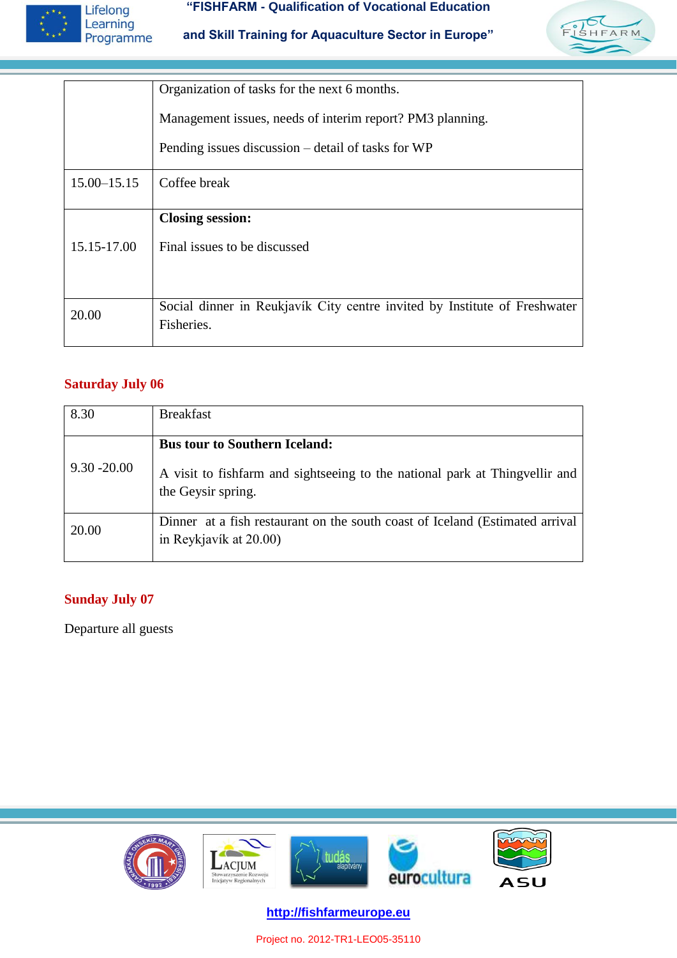

#### **"FISHFARM - Qualification of Vocational Education**

**and Skill Training for Aquaculture Sector in Europe"**



|                 | Organization of tasks for the next 6 months.                                            |  |
|-----------------|-----------------------------------------------------------------------------------------|--|
|                 | Management issues, needs of interim report? PM3 planning.                               |  |
|                 | Pending issues discussion – detail of tasks for WP                                      |  |
| $15.00 - 15.15$ | Coffee break                                                                            |  |
|                 | <b>Closing session:</b>                                                                 |  |
| 15.15-17.00     | Final issues to be discussed                                                            |  |
|                 |                                                                                         |  |
| 20.00           | Social dinner in Reukjavík City centre invited by Institute of Freshwater<br>Fisheries. |  |
|                 |                                                                                         |  |

#### **Saturday July 06**

| 8.30           | <b>Breakfast</b>                                                                                       |
|----------------|--------------------------------------------------------------------------------------------------------|
| $9.30 - 20.00$ | <b>Bus tour to Southern Iceland:</b>                                                                   |
|                | A visit to fishfarm and sightseeing to the national park at Thing vellir and<br>the Geysir spring.     |
| 20.00          | Dinner at a fish restaurant on the south coast of Iceland (Estimated arrival<br>in Reykjavík at 20.00) |

#### **Sunday July 07**

Departure all guests



**http://fishfarmeurope.eu**